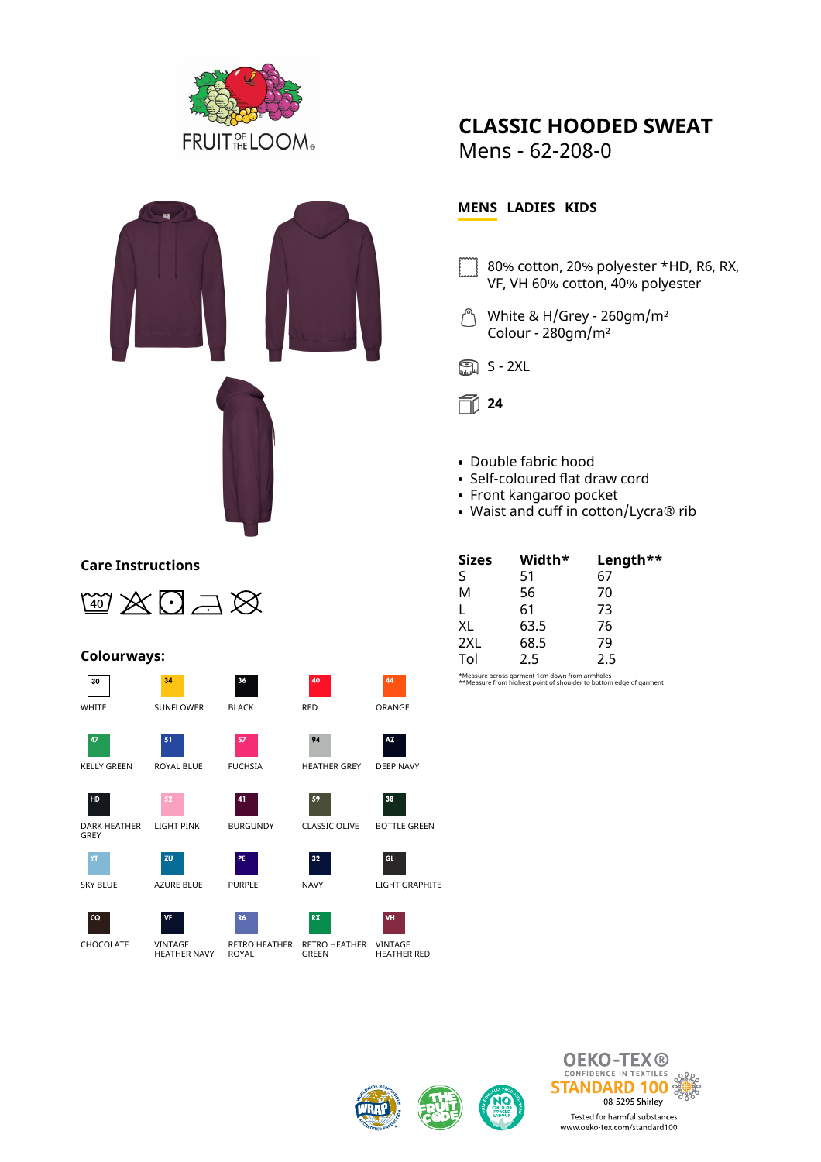



### **Care Instructions**



 $34$ 

### **Colourways:**







KELLY GREEN ROYAL BLUE FUCHSIA HEATHER GREY DEEP NAVY



HD





 $CQ$ 





zu









 $32\,$ 

LIGHT PINK BURGUNDY CLASSIC OLIVE BOTTLE GREEN

 $\overline{A}$ 

94

# Mens - 62-208-0

**CLASSIC HOODED SWEAT**

## **MENS LADIES KIDS**

- 80% cotton, 20% polyester \*HD, R6, RX, VF, VH 60% cotton, 40% polyester
- White & H/Grey 260gm/m²  $\int^b$ Colour - 280gm/m²





- Double fabric hood
- Self-coloured flat draw cord
- Front kangaroo pocket
- Waist and cuff in cotton/Lycra® rib

| <b>Sizes</b> | Width* | Length** |
|--------------|--------|----------|
| ς            | 51     | 67       |
| M            | 56     | 70       |
|              | 61     | 73       |
| XL           | 63.5   | 76       |
| 2XL          | 68.5   | 79       |
| Tol          | 25     | 25       |

\*Measure across garment 1cm down from armholes \*\*Measure from highest point of shoulder to bottom edge of garment





 $\overline{A}$ 

**AZ** 

38

**GL** 







## ROYAL

 $\overline{41}$ 

**DF** 

CHOCOLATE